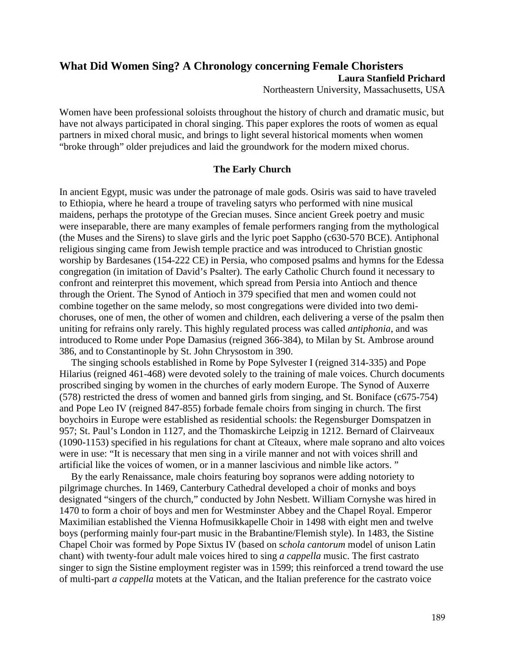# **What Did Women Sing? A Chronology concerning Female Choristers Laura Stanfield Prichard** Northeastern University, Massachusetts, USA

Women have been professional soloists throughout the history of church and dramatic music, but have not always participated in choral singing. This paper explores the roots of women as equal partners in mixed choral music, and brings to light several historical moments when women "broke through" older prejudices and laid the groundwork for the modern mixed chorus.

### **The Early Church**

In ancient Egypt, music was under the patronage of male gods. Osiris was said to have traveled to Ethiopia, where he heard a troupe of traveling satyrs who performed with nine musical maidens, perhaps the prototype of the Grecian muses. Since ancient Greek poetry and music were inseparable, there are many examples of female performers ranging from the mythological (the Muses and the Sirens) to slave girls and the lyric poet Sappho (c630-570 BCE). Antiphonal religious singing came from Jewish temple practice and was introduced to Christian gnostic worship by Bardesanes (154-222 CE) in Persia, who composed psalms and hymns for the Edessa congregation (in imitation of David's Psalter). The early Catholic Church found it necessary to confront and reinterpret this movement, which spread from Persia into Antioch and thence through the Orient. The Synod of Antioch in 379 specified that men and women could not combine together on the same melody, so most congregations were divided into two demichoruses, one of men, the other of women and children, each delivering a verse of the psalm then uniting for refrains only rarely. This highly regulated process was called *antiphonia*, and was introduced to Rome under Pope Damasius (reigned 366-384), to Milan by St. Ambrose around 386, and to Constantinople by St. John Chrysostom in 390.

The singing schools established in Rome by Pope Sylvester I (reigned 314-335) and Pope Hilarius (reigned 461-468) were devoted solely to the training of male voices. Church documents proscribed singing by women in the churches of early modern Europe. The Synod of Auxerre (578) restricted the dress of women and banned girls from singing, and St. Boniface (c675-754) and Pope Leo IV (reigned 847-855) forbade female choirs from singing in church. The first boychoirs in Europe were established as residential schools: the Regensburger Domspatzen in 957; St. Paul's London in 1127, and the Thomaskirche Leipzig in 1212. Bernard of Clairveaux (1090-1153) specified in his regulations for chant at Cîteaux, where male soprano and alto voices were in use: "It is necessary that men sing in a virile manner and not with voices shrill and artificial like the voices of women, or in a manner lascivious and nimble like actors. "

By the early Renaissance, male choirs featuring boy sopranos were adding notoriety to pilgrimage churches. In 1469, Canterbury Cathedral developed a choir of monks and boys designated "singers of the church," conducted by John Nesbett. William Cornyshe was hired in 1470 to form a choir of boys and men for Westminster Abbey and the Chapel Royal. Emperor Maximilian established the Vienna Hofmusikkapelle Choir in 1498 with eight men and twelve boys (performing mainly four-part music in the Brabantine/Flemish style). In 1483, the Sistine Chapel Choir was formed by Pope Sixtus IV (based on s*chola cantorum* model of unison Latin chant) with twenty-four adult male voices hired to sing *a cappella* music. The first castrato singer to sign the Sistine employment register was in 1599; this reinforced a trend toward the use of multi-part *a cappella* motets at the Vatican, and the Italian preference for the castrato voice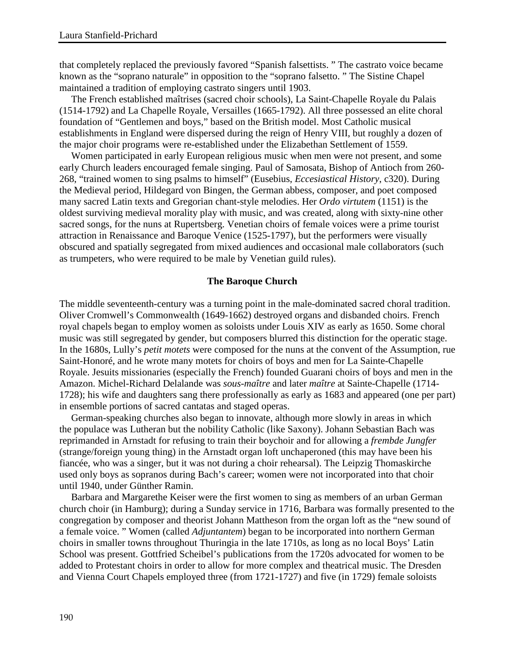that completely replaced the previously favored "Spanish falsettists. " The castrato voice became known as the "soprano naturale" in opposition to the "soprano falsetto. " The Sistine Chapel maintained a tradition of employing castrato singers until 1903.

The French established maîtrises (sacred choir schools), La Saint-Chapelle Royale du Palais (1514-1792) and La Chapelle Royale, Versailles (1665-1792). All three possessed an elite choral foundation of "Gentlemen and boys," based on the British model. Most Catholic musical establishments in England were dispersed during the reign of Henry VIII, but roughly a dozen of the major choir programs were re-established under the Elizabethan Settlement of 1559.

Women participated in early European religious music when men were not present, and some early Church leaders encouraged female singing. Paul of Samosata, Bishop of Antioch from 260- 268, "trained women to sing psalms to himself" (Eusebius, *Eccesiastical History*, c320). During the Medieval period, Hildegard von Bingen, the German abbess, composer, and poet composed many sacred Latin texts and Gregorian chant-style melodies. Her *Ordo virtutem* (1151) is the oldest surviving medieval morality play with music, and was created, along with sixty-nine other sacred songs, for the nuns at Rupertsberg. Venetian choirs of female voices were a prime tourist attraction in Renaissance and Baroque Venice (1525-1797), but the performers were visually obscured and spatially segregated from mixed audiences and occasional male collaborators (such as trumpeters, who were required to be male by Venetian guild rules).

### **The Baroque Church**

The middle seventeenth-century was a turning point in the male-dominated sacred choral tradition. Oliver Cromwell's Commonwealth (1649-1662) destroyed organs and disbanded choirs. French royal chapels began to employ women as soloists under Louis XIV as early as 1650. Some choral music was still segregated by gender, but composers blurred this distinction for the operatic stage. In the 1680s, Lully's *petit motets* were composed for the nuns at the convent of the Assumption, rue Saint-Honoré, and he wrote many motets for choirs of boys and men for La Sainte-Chapelle Royale. Jesuits missionaries (especially the French) founded Guarani choirs of boys and men in the Amazon. Michel-Richard Delalande was *sous-maître* and later *maître* at Sainte-Chapelle (1714- 1728); his wife and daughters sang there professionally as early as 1683 and appeared (one per part) in ensemble portions of sacred cantatas and staged operas.

German-speaking churches also began to innovate, although more slowly in areas in which the populace was Lutheran but the nobility Catholic (like Saxony). Johann Sebastian Bach was reprimanded in Arnstadt for refusing to train their boychoir and for allowing a *frembde Jungfer* (strange/foreign young thing) in the Arnstadt organ loft unchaperoned (this may have been his fiancée, who was a singer, but it was not during a choir rehearsal). The Leipzig Thomaskirche used only boys as sopranos during Bach's career; women were not incorporated into that choir until 1940, under Günther Ramin.

Barbara and Margarethe Keiser were the first women to sing as members of an urban German church choir (in Hamburg); during a Sunday service in 1716, Barbara was formally presented to the congregation by composer and theorist Johann Mattheson from the organ loft as the "new sound of a female voice. " Women (called *Adjuntantem*) began to be incorporated into northern German choirs in smaller towns throughout Thuringia in the late 1710s, as long as no local Boys' Latin School was present. Gottfried Scheibel's publications from the 1720s advocated for women to be added to Protestant choirs in order to allow for more complex and theatrical music. The Dresden and Vienna Court Chapels employed three (from 1721-1727) and five (in 1729) female soloists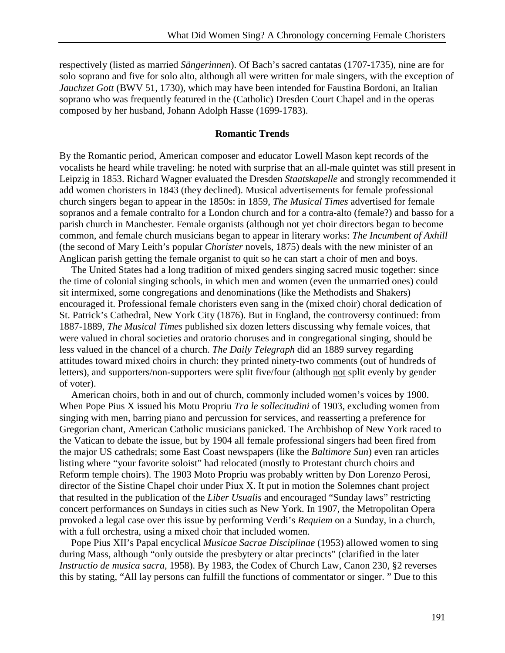respectively (listed as married *Sängerinnen*). Of Bach's sacred cantatas (1707-1735), nine are for solo soprano and five for solo alto, although all were written for male singers, with the exception of *Jauchzet Gott* (BWV 51, 1730), which may have been intended for Faustina Bordoni, an Italian soprano who was frequently featured in the (Catholic) Dresden Court Chapel and in the operas composed by her husband, Johann Adolph Hasse (1699-1783).

## **Romantic Trends**

By the Romantic period, American composer and educator Lowell Mason kept records of the vocalists he heard while traveling: he noted with surprise that an all-male quintet was still present in Leipzig in 1853. Richard Wagner evaluated the Dresden *Staatskapelle* and strongly recommended it add women choristers in 1843 (they declined). Musical advertisements for female professional church singers began to appear in the 1850s: in 1859, *The Musical Times* advertised for female sopranos and a female contralto for a London church and for a contra-alto (female?) and basso for a parish church in Manchester. Female organists (although not yet choir directors began to become common, and female church musicians began to appear in literary works: *The Incumbent of Axhill* (the second of Mary Leith's popular *Chorister* novels, 1875) deals with the new minister of an Anglican parish getting the female organist to quit so he can start a choir of men and boys.

The United States had a long tradition of mixed genders singing sacred music together: since the time of colonial singing schools, in which men and women (even the unmarried ones) could sit intermixed, some congregations and denominations (like the Methodists and Shakers) encouraged it. Professional female choristers even sang in the (mixed choir) choral dedication of St. Patrick's Cathedral, New York City (1876). But in England, the controversy continued: from 1887-1889, *The Musical Times* published six dozen letters discussing why female voices, that were valued in choral societies and oratorio choruses and in congregational singing, should be less valued in the chancel of a church. *The Daily Telegraph* did an 1889 survey regarding attitudes toward mixed choirs in church: they printed ninety-two comments (out of hundreds of letters), and supporters/non-supporters were split five/four (although not split evenly by gender of voter).

American choirs, both in and out of church, commonly included women's voices by 1900. When Pope Pius X issued his Motu Propriu *Tra le sollecitudini* of 1903, excluding women from singing with men, barring piano and percussion for services, and reasserting a preference for Gregorian chant, American Catholic musicians panicked. The Archbishop of New York raced to the Vatican to debate the issue, but by 1904 all female professional singers had been fired from the major US cathedrals; some East Coast newspapers (like the *Baltimore Sun*) even ran articles listing where "your favorite soloist" had relocated (mostly to Protestant church choirs and Reform temple choirs). The 1903 Moto Propriu was probably written by Don Lorenzo Perosi, director of the Sistine Chapel choir under Piux X. It put in motion the Solemnes chant project that resulted in the publication of the *Liber Usualis* and encouraged "Sunday laws" restricting concert performances on Sundays in cities such as New York. In 1907, the Metropolitan Opera provoked a legal case over this issue by performing Verdi's *Requiem* on a Sunday, in a church, with a full orchestra, using a mixed choir that included women.

Pope Pius XII's Papal encyclical *Musicae Sacrae Disciplinae* (1953) allowed women to sing during Mass, although "only outside the presbytery or altar precincts" (clarified in the later *Instructio de musica sacra*, 1958). By 1983, the Codex of Church Law, Canon 230, §2 reverses this by stating, "All lay persons can fulfill the functions of commentator or singer. " Due to this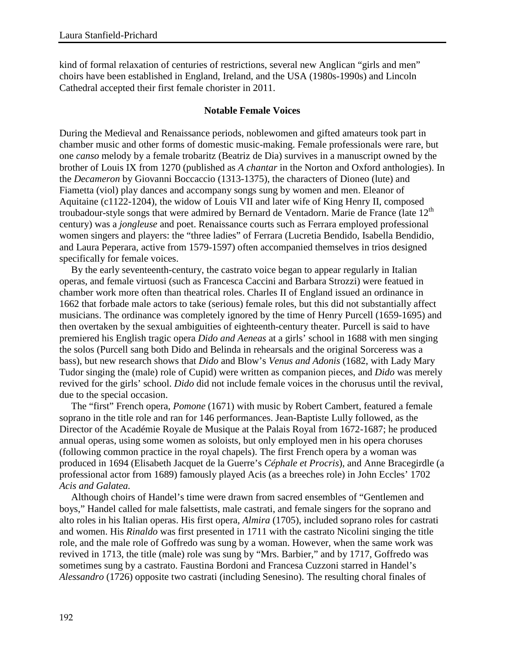kind of formal relaxation of centuries of restrictions, several new Anglican "girls and men" choirs have been established in England, Ireland, and the USA (1980s-1990s) and Lincoln Cathedral accepted their first female chorister in 2011.

## **Notable Female Voices**

During the Medieval and Renaissance periods, noblewomen and gifted amateurs took part in chamber music and other forms of domestic music-making. Female professionals were rare, but one *canso* melody by a female trobaritz (Beatriz de Dia) survives in a manuscript owned by the brother of Louis IX from 1270 (published as *A chantar* in the Norton and Oxford anthologies). In the *Decameron* by Giovanni Boccaccio (1313-1375), the characters of Dioneo (lute) and Fiametta (viol) play dances and accompany songs sung by women and men. Eleanor of Aquitaine (c1122-1204), the widow of Louis VII and later wife of King Henry II, composed troubadour-style songs that were admired by Bernard de Ventadorn. Marie de France (late  $12<sup>th</sup>$ century) was a *jongleuse* and poet. Renaissance courts such as Ferrara employed professional women singers and players: the "three ladies" of Ferrara (Lucretia Bendido, Isabella Bendidio, and Laura Peperara, active from 1579-1597) often accompanied themselves in trios designed specifically for female voices.

By the early seventeenth-century, the castrato voice began to appear regularly in Italian operas, and female virtuosi (such as Francesca Caccini and Barbara Strozzi) were featued in chamber work more often than theatrical roles. Charles II of England issued an ordinance in 1662 that forbade male actors to take (serious) female roles, but this did not substantially affect musicians. The ordinance was completely ignored by the time of Henry Purcell (1659-1695) and then overtaken by the sexual ambiguities of eighteenth-century theater. Purcell is said to have premiered his English tragic opera *Dido and Aeneas* at a girls' school in 1688 with men singing the solos (Purcell sang both Dido and Belinda in rehearsals and the original Sorceress was a bass), but new research shows that *Dido* and Blow's *Venus and Adonis* (1682, with Lady Mary Tudor singing the (male) role of Cupid) were written as companion pieces, and *Dido* was merely revived for the girls' school. *Dido* did not include female voices in the chorusus until the revival, due to the special occasion.

The "first" French opera, *Pomone* (1671) with music by Robert Cambert, featured a female soprano in the title role and ran for 146 performances. Jean-Baptiste Lully followed, as the Director of the Académie Royale de Musique at the Palais Royal from 1672-1687; he produced annual operas, using some women as soloists, but only employed men in his opera choruses (following common practice in the royal chapels). The first French opera by a woman was produced in 1694 (Elisabeth Jacquet de la Guerre's *Céphale et Procris*), and Anne Bracegirdle (a professional actor from 1689) famously played Acis (as a breeches role) in John Eccles' 1702 *Acis and Galatea.* 

Although choirs of Handel's time were drawn from sacred ensembles of "Gentlemen and boys," Handel called for male falsettists, male castrati, and female singers for the soprano and alto roles in his Italian operas. His first opera, *Almira* (1705), included soprano roles for castrati and women. His *Rinaldo* was first presented in 1711 with the castrato Nicolini singing the title role, and the male role of Goffredo was sung by a woman. However, when the same work was revived in 1713, the title (male) role was sung by "Mrs. Barbier," and by 1717, Goffredo was sometimes sung by a castrato. Faustina Bordoni and Francesa Cuzzoni starred in Handel's *Alessandro* (1726) opposite two castrati (including Senesino). The resulting choral finales of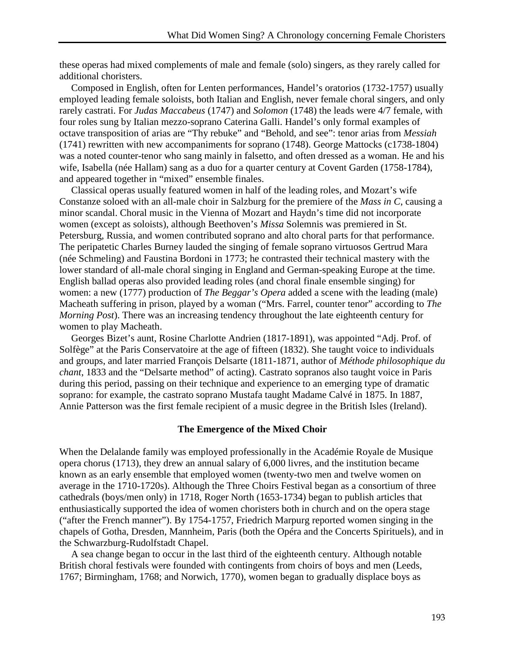these operas had mixed complements of male and female (solo) singers, as they rarely called for additional choristers.

Composed in English, often for Lenten performances, Handel's oratorios (1732-1757) usually employed leading female soloists, both Italian and English, never female choral singers, and only rarely castrati. For *Judas Maccabeus* (1747) and *Solomon* (1748) the leads were 4/7 female, with four roles sung by Italian mezzo-soprano Caterina Galli. Handel's only formal examples of octave transposition of arias are "Thy rebuke" and "Behold, and see": tenor arias from *Messiah* (1741) rewritten with new accompaniments for soprano (1748). George Mattocks (c1738-1804) was a noted counter-tenor who sang mainly in falsetto, and often dressed as a woman. He and his wife, Isabella (née Hallam) sang as a duo for a quarter century at Covent Garden (1758-1784), and appeared together in "mixed" ensemble finales.

Classical operas usually featured women in half of the leading roles, and Mozart's wife Constanze soloed with an all-male choir in Salzburg for the premiere of the *Mass in C*, causing a minor scandal. Choral music in the Vienna of Mozart and Haydn's time did not incorporate women (except as soloists), although Beethoven's *Missa* Solemnis was premiered in St. Petersburg, Russia, and women contributed soprano and alto choral parts for that performance. The peripatetic Charles Burney lauded the singing of female soprano virtuosos Gertrud Mara (née Schmeling) and Faustina Bordoni in 1773; he contrasted their technical mastery with the lower standard of all-male choral singing in England and German-speaking Europe at the time. English ballad operas also provided leading roles (and choral finale ensemble singing) for women: a new (1777) production of *The Beggar's Opera* added a scene with the leading (male) Macheath suffering in prison, played by a woman ("Mrs. Farrel, counter tenor" according to *The Morning Post*). There was an increasing tendency throughout the late eighteenth century for women to play Macheath.

Georges Bizet's aunt, Rosine Charlotte Andrien (1817-1891), was appointed "Adj. Prof. of Solfège" at the Paris Conservatoire at the age of fifteen (1832). She taught voice to individuals and groups, and later married François Delsarte (1811-1871, author of *Méthode philosophique du chant*, 1833 and the "Delsarte method" of acting). Castrato sopranos also taught voice in Paris during this period, passing on their technique and experience to an emerging type of dramatic soprano: for example, the castrato soprano Mustafa taught Madame Calvé in 1875. In 1887, Annie Patterson was the first female recipient of a music degree in the British Isles (Ireland).

### **The Emergence of the Mixed Choir**

When the Delalande family was employed professionally in the Académie Royale de Musique opera chorus (1713), they drew an annual salary of 6,000 livres, and the institution became known as an early ensemble that employed women (twenty-two men and twelve women on average in the 1710-1720s). Although the Three Choirs Festival began as a consortium of three cathedrals (boys/men only) in 1718, Roger North (1653-1734) began to publish articles that enthusiastically supported the idea of women choristers both in church and on the opera stage ("after the French manner"). By 1754-1757, Friedrich Marpurg reported women singing in the chapels of Gotha, Dresden, Mannheim, Paris (both the Opéra and the Concerts Spirituels), and in the Schwarzburg-Rudolfstadt Chapel.

A sea change began to occur in the last third of the eighteenth century. Although notable British choral festivals were founded with contingents from choirs of boys and men (Leeds, 1767; Birmingham, 1768; and Norwich, 1770), women began to gradually displace boys as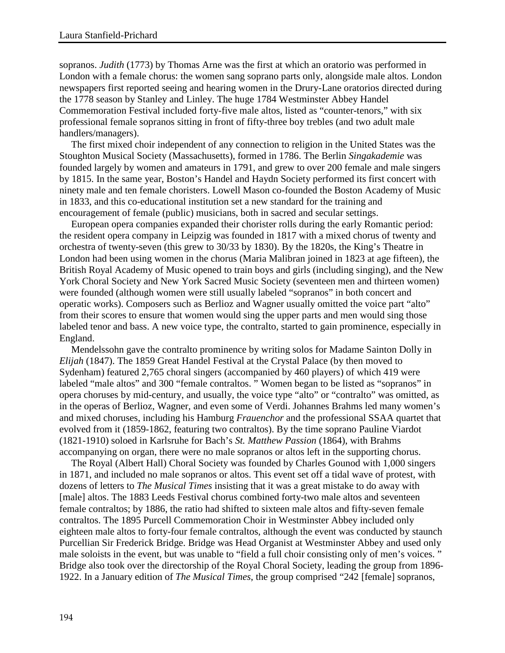sopranos. *Judith* (1773) by Thomas Arne was the first at which an oratorio was performed in London with a female chorus: the women sang soprano parts only, alongside male altos. London newspapers first reported seeing and hearing women in the Drury-Lane oratorios directed during the 1778 season by Stanley and Linley. The huge 1784 Westminster Abbey Handel Commemoration Festival included forty-five male altos, listed as "counter-tenors," with six professional female sopranos sitting in front of fifty-three boy trebles (and two adult male handlers/managers).

The first mixed choir independent of any connection to religion in the United States was the Stoughton Musical Society (Massachusetts), formed in 1786. The Berlin *Singakademie* was founded largely by women and amateurs in 1791, and grew to over 200 female and male singers by 1815. In the same year, Boston's Handel and Haydn Society performed its first concert with ninety male and ten female choristers. Lowell Mason co-founded the Boston Academy of Music in 1833, and this co-educational institution set a new standard for the training and encouragement of female (public) musicians, both in sacred and secular settings.

European opera companies expanded their chorister rolls during the early Romantic period: the resident opera company in Leipzig was founded in 1817 with a mixed chorus of twenty and orchestra of twenty-seven (this grew to 30/33 by 1830). By the 1820s, the King's Theatre in London had been using women in the chorus (Maria Malibran joined in 1823 at age fifteen), the British Royal Academy of Music opened to train boys and girls (including singing), and the New York Choral Society and New York Sacred Music Society (seventeen men and thirteen women) were founded (although women were still usually labeled "sopranos" in both concert and operatic works). Composers such as Berlioz and Wagner usually omitted the voice part "alto" from their scores to ensure that women would sing the upper parts and men would sing those labeled tenor and bass. A new voice type, the contralto, started to gain prominence, especially in England.

Mendelssohn gave the contralto prominence by writing solos for Madame Sainton Dolly in *Elijah* (1847). The 1859 Great Handel Festival at the Crystal Palace (by then moved to Sydenham) featured 2,765 choral singers (accompanied by 460 players) of which 419 were labeled "male altos" and 300 "female contraltos. " Women began to be listed as "sopranos" in opera choruses by mid-century, and usually, the voice type "alto" or "contralto" was omitted, as in the operas of Berlioz, Wagner, and even some of Verdi. Johannes Brahms led many women's and mixed choruses, including his Hamburg *Frauenchor* and the professional SSAA quartet that evolved from it (1859-1862, featuring two contraltos). By the time soprano Pauline Viardot (1821-1910) soloed in Karlsruhe for Bach's *St. Matthew Passion* (1864), with Brahms accompanying on organ, there were no male sopranos or altos left in the supporting chorus.

The Royal (Albert Hall) Choral Society was founded by Charles Gounod with 1,000 singers in 1871, and included no male sopranos or altos. This event set off a tidal wave of protest, with dozens of letters to *The Musical Times* insisting that it was a great mistake to do away with [male] altos. The 1883 Leeds Festival chorus combined forty-two male altos and seventeen female contraltos; by 1886, the ratio had shifted to sixteen male altos and fifty-seven female contraltos. The 1895 Purcell Commemoration Choir in Westminster Abbey included only eighteen male altos to forty-four female contraltos, although the event was conducted by staunch Purcellian Sir Frederick Bridge. Bridge was Head Organist at Westminster Abbey and used only male soloists in the event, but was unable to "field a full choir consisting only of men's voices." Bridge also took over the directorship of the Royal Choral Society, leading the group from 1896- 1922. In a January edition of *The Musical Times*, the group comprised "242 [female] sopranos,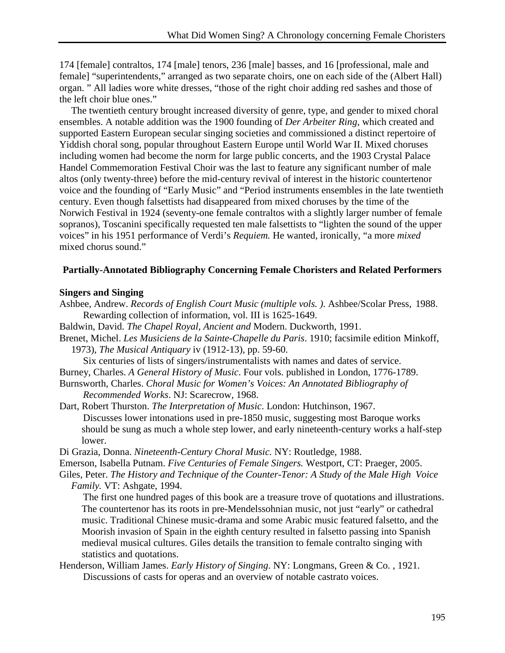174 [female] contraltos, 174 [male] tenors, 236 [male] basses, and 16 [professional, male and female] "superintendents," arranged as two separate choirs, one on each side of the (Albert Hall) organ. " All ladies wore white dresses, "those of the right choir adding red sashes and those of the left choir blue ones."

The twentieth century brought increased diversity of genre, type, and gender to mixed choral ensembles. A notable addition was the 1900 founding of *Der Arbeiter Ring*, which created and supported Eastern European secular singing societies and commissioned a distinct repertoire of Yiddish choral song, popular throughout Eastern Europe until World War II. Mixed choruses including women had become the norm for large public concerts, and the 1903 Crystal Palace Handel Commemoration Festival Choir was the last to feature any significant number of male altos (only twenty-three) before the mid-century revival of interest in the historic countertenor voice and the founding of "Early Music" and "Period instruments ensembles in the late twentieth century. Even though falsettists had disappeared from mixed choruses by the time of the Norwich Festival in 1924 (seventy-one female contraltos with a slightly larger number of female sopranos), Toscanini specifically requested ten male falsettists to "lighten the sound of the upper voices" in his 1951 performance of Verdi's *Requiem.* He wanted, ironically, "a more *mixed* mixed chorus sound."

### **Partially-Annotated Bibliography Concerning Female Choristers and Related Performers**

### **Singers and Singing**

- Ashbee, Andrew. *Records of English Court Music (multiple vols. )*. Ashbee/Scolar Press, 1988. Rewarding collection of information, vol. III is 1625-1649.
- Baldwin, David. *The Chapel Royal, Ancient and* Modern. Duckworth, 1991.
- Brenet, Michel. *Les Musiciens de la Sainte-Chapelle du Paris*. 1910; facsimile edition Minkoff, 1973), *The Musical Antiquary* iv (1912-13), pp. 59-60.

Six centuries of lists of singers/instrumentalists with names and dates of service.

Burney, Charles. *A General History of Music*. Four vols. published in London, 1776-1789.

- Burnsworth, Charles. *Choral Music for Women's Voices: An Annotated Bibliography of Recommended Works*. NJ: Scarecrow, 1968.
- Dart, Robert Thurston. *The Interpretation of Music*. London: Hutchinson, 1967. Discusses lower intonations used in pre-1850 music, suggesting most Baroque works should be sung as much a whole step lower, and early nineteenth-century works a half-step lower.
- Di Grazia, Donna. *Nineteenth-Century Choral Music.* NY: Routledge, 1988.
- Emerson, Isabella Putnam. *Five Centuries of Female Singers.* Westport, CT: Praeger, 2005.
- Giles, Peter. *The History and Technique of the Counter-Tenor: A Study of the Male High Voice Family.* VT: Ashgate, 1994.

The first one hundred pages of this book are a treasure trove of quotations and illustrations. The countertenor has its roots in pre-Mendelssohnian music, not just "early" or cathedral music. Traditional Chinese music-drama and some Arabic music featured falsetto, and the Moorish invasion of Spain in the eighth century resulted in falsetto passing into Spanish medieval musical cultures. Giles details the transition to female contralto singing with statistics and quotations.

Henderson, William James. *Early History of Singing*. NY: Longmans, Green & Co. , 1921. Discussions of casts for operas and an overview of notable castrato voices.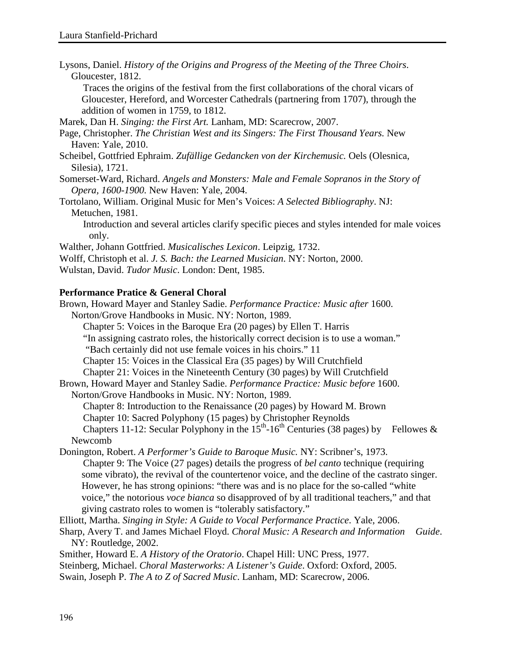Lysons, Daniel. *History of the Origins and Progress of the Meeting of the Three Choirs*. Gloucester, 1812.

Traces the origins of the festival from the first collaborations of the choral vicars of Gloucester, Hereford, and Worcester Cathedrals (partnering from 1707), through the addition of women in 1759, to 1812.

Marek, Dan H. *Singing: the First Art.* Lanham, MD: Scarecrow, 2007.

Page, Christopher. *The Christian West and its Singers: The First Thousand Years.* New Haven: Yale, 2010.

Scheibel, Gottfried Ephraim. *Zufällige Gedancken von der Kirchemusic.* Oels (Olesnica, Silesia), 1721.

Somerset-Ward, Richard. *Angels and Monsters: Male and Female Sopranos in the Story of Opera, 1600-1900.* New Haven: Yale, 2004.

Tortolano*,* William. Original Music for Men's Voices: *A Selected Bibliography*. NJ: Metuchen, 1981.

Introduction and several articles clarify specific pieces and styles intended for male voices only.

Walther, Johann Gottfried. *Musicalisches Lexicon*. Leipzig, 1732.

Wolff, Christoph et al. *J. S. Bach: the Learned Musician*. NY: Norton, 2000.

Wulstan, David. *Tudor Music*. London: Dent, 1985.

## **Performance Pratice & General Choral**

Brown, Howard Mayer and Stanley Sadie. *Performance Practice: Music after* 1600. Norton/Grove Handbooks in Music. NY: Norton, 1989. Chapter 5: Voices in the Baroque Era (20 pages) by Ellen T. Harris "In assigning castrato roles, the historically correct decision is to use a woman." "Bach certainly did not use female voices in his choirs." 11 Chapter 15: Voices in the Classical Era (35 pages) by Will Crutchfield Chapter 21: Voices in the Nineteenth Century (30 pages) by Will Crutchfield Brown, Howard Mayer and Stanley Sadie. *Performance Practice: Music before* 1600. Norton/Grove Handbooks in Music. NY: Norton, 1989. Chapter 8: Introduction to the Renaissance (20 pages) by Howard M. Brown Chapter 10: Sacred Polyphony (15 pages) by Christopher Reynolds Chapters 11-12: Secular Polyphony in the  $15<sup>th</sup>$ -16<sup>th</sup> Centuries (38 pages) by Fellowes & Newcomb Donington, Robert. *A Performer's Guide to Baroque Music.* NY: Scribner's, 1973. Chapter 9: The Voice (27 pages) details the progress of *bel canto* technique (requiring some vibrato), the revival of the countertenor voice, and the decline of the castrato singer.

However, he has strong opinions: "there was and is no place for the so-called "white voice," the notorious *voce bianca* so disapproved of by all traditional teachers," and that giving castrato roles to women is "tolerably satisfactory."

Elliott, Martha. *Singing in Style: A Guide to Vocal Performance Practice*. Yale, 2006.

Sharp, Avery T. and James Michael Floyd. *Choral Music: A Research and Information Guide*. NY: Routledge, 2002.

Smither, Howard E. *A History of the Oratorio*. Chapel Hill: UNC Press, 1977.

Steinberg, Michael. *Choral Masterworks: A Listener's Guide*. Oxford: Oxford, 2005.

Swain, Joseph P. *The A to Z of Sacred Music*. Lanham, MD: Scarecrow, 2006.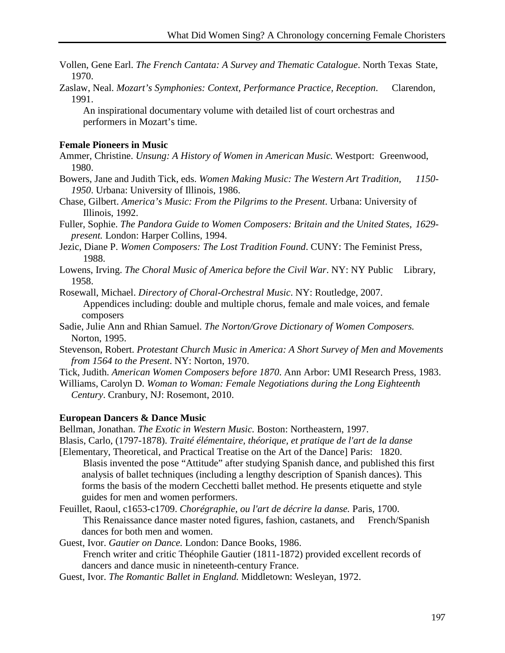- Vollen, Gene Earl. *The French Cantata: A Survey and Thematic Catalogue*. North Texas State, 1970.
- Zaslaw, Neal. *Mozart's Symphonies: Context, Performance Practice, Reception*. Clarendon, 1991.

An inspirational documentary volume with detailed list of court orchestras and performers in Mozart's time.

## **Female Pioneers in Music**

- Ammer, Christine. *Unsung: A History of Women in American Music.* Westport: Greenwood, 1980.
- Bowers, Jane and Judith Tick, eds. *Women Making Music: The Western Art Tradition, 1150- 1950*. Urbana: University of Illinois, 1986.
- Chase, Gilbert. *America's Music: From the Pilgrims to the Present*. Urbana: University of Illinois, 1992.
- Fuller, Sophie. *The Pandora Guide to Women Composers: Britain and the United States, 1629 present.* London: Harper Collins, 1994.
- Jezic, Diane P. *Women Composers: The Lost Tradition Found*. CUNY: The Feminist Press, 1988.
- Lowens, Irving. *The Choral Music of America before the Civil War*. NY: NY Public Library, 1958.

Rosewall, Michael. *Directory of Choral-Orchestral Music*. NY: Routledge, 2007. Appendices including: double and multiple chorus, female and male voices, and female composers

- Sadie, Julie Ann and Rhian Samuel. *The Norton/Grove Dictionary of Women Composers.*  Norton, 1995.
- Stevenson, Robert. *Protestant Church Music in America: A Short Survey of Men and Movements from 1564 to the Present*. NY: Norton, 1970.
- Tick, Judith. *American Women Composers before 1870*. Ann Arbor: UMI Research Press, 1983.
- Williams, Carolyn D. *Woman to Woman: Female Negotiations during the Long Eighteenth Century*. Cranbury, NJ: Rosemont, 2010.

#### **European Dancers & Dance Music**

Bellman, Jonathan. *The Exotic in Western Music.* Boston: Northeastern, 1997.

Blasis, Carlo, (1797-1878). *Traité élémentaire, théorique, et pratique de l'art de la danse*

- [Elementary, Theoretical, and Practical Treatise on the Art of the Dance] Paris: 1820. Blasis invented the pose "Attitude" after studying Spanish dance, and published this first analysis of ballet techniques (including a lengthy description of Spanish dances). This forms the basis of the modern Cecchetti ballet method. He presents etiquette and style guides for men and women performers.
- Feuillet, Raoul, c1653-c1709. *Chorégraphie, ou l'art de décrire la danse.* Paris, 1700. This Renaissance dance master noted figures, fashion, castanets, and French/Spanish dances for both men and women.

Guest, Ivor. *Gautier on Dance.* London: Dance Books, 1986.

French writer and critic Théophile Gautier (1811-1872) provided excellent records of dancers and dance music in nineteenth-century France.

Guest, Ivor. *The Romantic Ballet in England.* Middletown: Wesleyan, 1972.